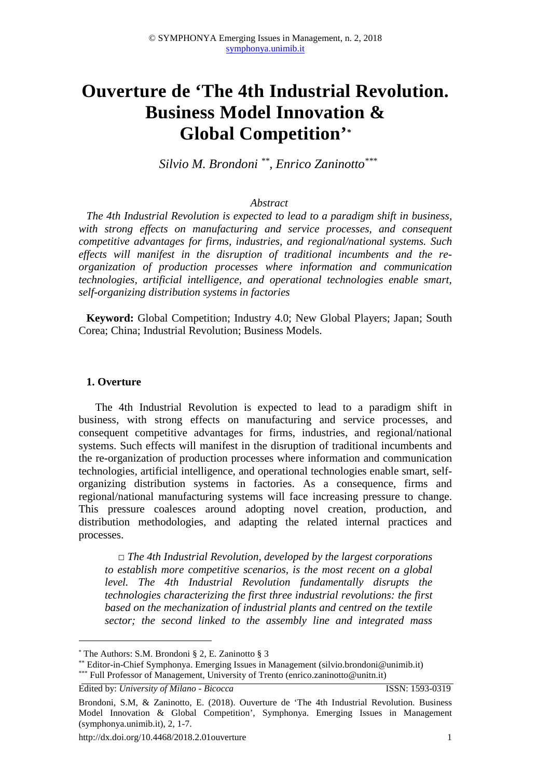# **Ouverture de 'The 4th Industrial Revolution. Business Model Innovation & Global Competition'***\**

*Silvio M. Brondoni \*\*, Enrico Zaninotto\*\*\**

#### *Abstract*

*The 4th Industrial Revolution is expected to lead to a paradigm shift in business, with strong effects on manufacturing and service processes, and consequent competitive advantages for firms, industries, and regional/national systems. Such effects will manifest in the disruption of traditional incumbents and the reorganization of production processes where information and communication technologies, artificial intelligence, and operational technologies enable smart, self-organizing distribution systems in factories* 

**Keyword:** Global Competition; Industry 4.0; New Global Players; Japan; South Corea; China; Industrial Revolution; Business Models.

#### **1. Overture**

The 4th Industrial Revolution is expected to lead to a paradigm shift in business, with strong effects on manufacturing and service processes, and consequent competitive advantages for firms, industries, and regional/national systems. Such effects will manifest in the disruption of traditional incumbents and the re-organization of production processes where information and communication technologies, artificial intelligence, and operational technologies enable smart, selforganizing distribution systems in factories. As a consequence, firms and regional/national manufacturing systems will face increasing pressure to change. This pressure coalesces around adopting novel creation, production, and distribution methodologies, and adapting the related internal practices and processes.

*□ The 4th Industrial Revolution, developed by the largest corporations to establish more competitive scenarios, is the most recent on a global level. The 4th Industrial Revolution fundamentally disrupts the technologies characterizing the first three industrial revolutions: the first based on the mechanization of industrial plants and centred on the textile sector; the second linked to the assembly line and integrated mass* 

Edited by: *University of Milano - Bicocca* ISSN: 1593-0319

 $\overline{a}$ 

<sup>\*</sup> The Authors: S.M. Brondoni § 2, E. Zaninotto § 3

<sup>\*\*</sup> Editor-in-Chief Symphonya. Emerging Issues in Management (silvio.brondoni@unimib.it) \*\*\* Full Professor of Management, University of Trento (enrico.zaninotto@unitn.it)

Brondoni, S.M, & Zaninotto, E. (2018). Ouverture de 'The 4th Industrial Revolution. Business Model Innovation & Global Competition', Symphonya. Emerging Issues in Management (symphonya.unimib.it), 2, 1-7.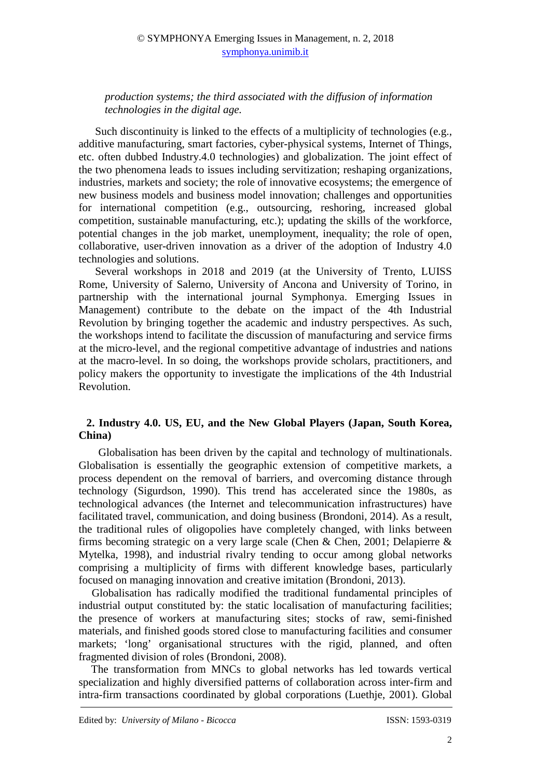## © SYMPHONYA Emerging Issues in Management, n. 2, 2018 symphonya.unimib.it

*production systems; the third associated with the diffusion of information technologies in the digital age.* 

Such discontinuity is linked to the effects of a multiplicity of technologies (e.g., additive manufacturing, smart factories, cyber-physical systems, Internet of Things, etc. often dubbed Industry.4.0 technologies) and globalization. The joint effect of the two phenomena leads to issues including servitization; reshaping organizations, industries, markets and society; the role of innovative ecosystems; the emergence of new business models and business model innovation; challenges and opportunities for international competition (e.g., outsourcing, reshoring, increased global competition, sustainable manufacturing, etc.); updating the skills of the workforce, potential changes in the job market, unemployment, inequality; the role of open, collaborative, user-driven innovation as a driver of the adoption of Industry 4.0 technologies and solutions.

Several workshops in 2018 and 2019 (at the University of Trento, LUISS Rome, University of Salerno, University of Ancona and University of Torino, in partnership with the international journal Symphonya. Emerging Issues in Management) contribute to the debate on the impact of the 4th Industrial Revolution by bringing together the academic and industry perspectives. As such, the workshops intend to facilitate the discussion of manufacturing and service firms at the micro-level, and the regional competitive advantage of industries and nations at the macro-level. In so doing, the workshops provide scholars, practitioners, and policy makers the opportunity to investigate the implications of the 4th Industrial Revolution.

## **2. Industry 4.0. US, EU, and the New Global Players (Japan, South Korea, China)**

Globalisation has been driven by the capital and technology of multinationals. Globalisation is essentially the geographic extension of competitive markets, a process dependent on the removal of barriers, and overcoming distance through technology (Sigurdson, 1990). This trend has accelerated since the 1980s, as technological advances (the Internet and telecommunication infrastructures) have facilitated travel, communication, and doing business (Brondoni, 2014). As a result, the traditional rules of oligopolies have completely changed, with links between firms becoming strategic on a very large scale (Chen & Chen, 2001; Delapierre & Mytelka, 1998), and industrial rivalry tending to occur among global networks comprising a multiplicity of firms with different knowledge bases, particularly focused on managing innovation and creative imitation (Brondoni, 2013).

Globalisation has radically modified the traditional fundamental principles of industrial output constituted by: the static localisation of manufacturing facilities; the presence of workers at manufacturing sites; stocks of raw, semi-finished materials, and finished goods stored close to manufacturing facilities and consumer markets; 'long' organisational structures with the rigid, planned, and often fragmented division of roles (Brondoni, 2008).

The transformation from MNCs to global networks has led towards vertical specialization and highly diversified patterns of collaboration across inter-firm and intra-firm transactions coordinated by global corporations (Luethje, 2001). Global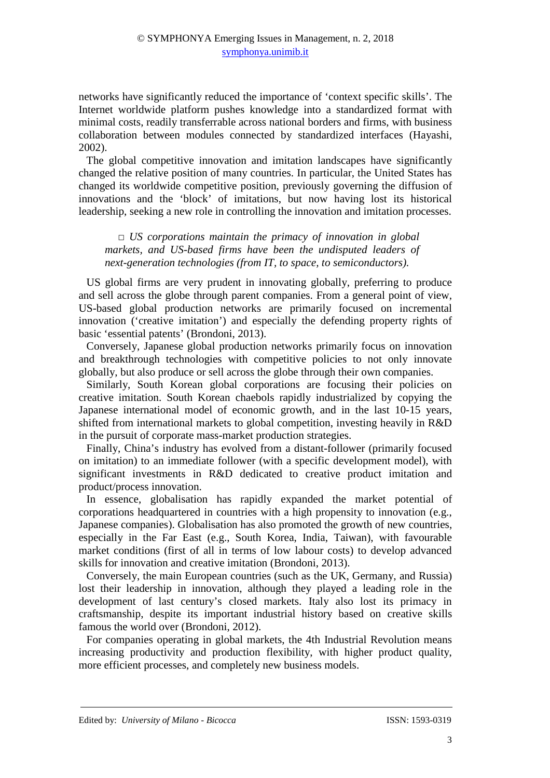networks have significantly reduced the importance of 'context specific skills'. The Internet worldwide platform pushes knowledge into a standardized format with minimal costs, readily transferrable across national borders and firms, with business collaboration between modules connected by standardized interfaces (Hayashi, 2002).

The global competitive innovation and imitation landscapes have significantly changed the relative position of many countries. In particular, the United States has changed its worldwide competitive position, previously governing the diffusion of innovations and the 'block' of imitations, but now having lost its historical leadership, seeking a new role in controlling the innovation and imitation processes.

*□ US corporations maintain the primacy of innovation in global markets, and US-based firms have been the undisputed leaders of next-generation technologies (from IT, to space, to semiconductors).* 

US global firms are very prudent in innovating globally, preferring to produce and sell across the globe through parent companies. From a general point of view, US-based global production networks are primarily focused on incremental innovation ('creative imitation') and especially the defending property rights of basic 'essential patents' (Brondoni, 2013).

Conversely, Japanese global production networks primarily focus on innovation and breakthrough technologies with competitive policies to not only innovate globally, but also produce or sell across the globe through their own companies.

Similarly, South Korean global corporations are focusing their policies on creative imitation. South Korean chaebols rapidly industrialized by copying the Japanese international model of economic growth, and in the last 10-15 years, shifted from international markets to global competition, investing heavily in R&D in the pursuit of corporate mass-market production strategies.

Finally, China's industry has evolved from a distant-follower (primarily focused on imitation) to an immediate follower (with a specific development model), with significant investments in R&D dedicated to creative product imitation and product/process innovation.

In essence, globalisation has rapidly expanded the market potential of corporations headquartered in countries with a high propensity to innovation (e.g., Japanese companies). Globalisation has also promoted the growth of new countries, especially in the Far East (e.g., South Korea, India, Taiwan), with favourable market conditions (first of all in terms of low labour costs) to develop advanced skills for innovation and creative imitation (Brondoni, 2013).

Conversely, the main European countries (such as the UK, Germany, and Russia) lost their leadership in innovation, although they played a leading role in the development of last century's closed markets. Italy also lost its primacy in craftsmanship, despite its important industrial history based on creative skills famous the world over (Brondoni, 2012).

For companies operating in global markets, the 4th Industrial Revolution means increasing productivity and production flexibility, with higher product quality, more efficient processes, and completely new business models.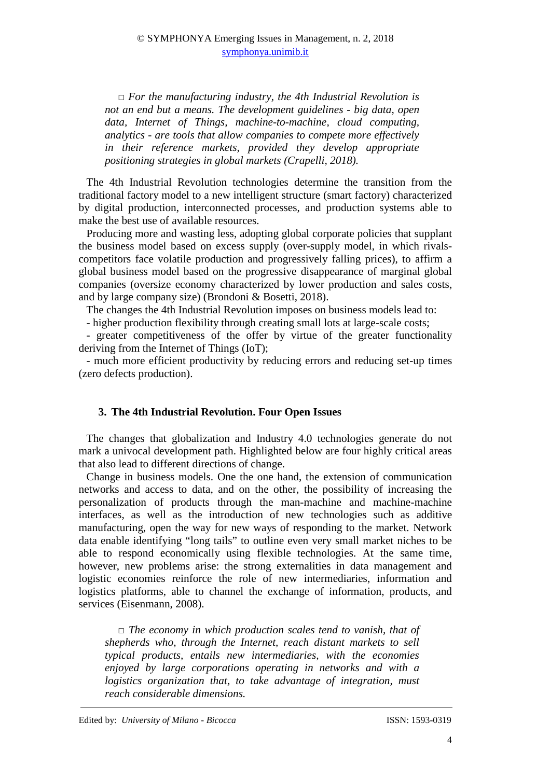*□ For the manufacturing industry, the 4th Industrial Revolution is not an end but a means. The development guidelines - big data, open data, Internet of Things, machine-to-machine, cloud computing, analytics - are tools that allow companies to compete more effectively in their reference markets, provided they develop appropriate positioning strategies in global markets (Crapelli, 2018).* 

The 4th Industrial Revolution technologies determine the transition from the traditional factory model to a new intelligent structure (smart factory) characterized by digital production, interconnected processes, and production systems able to make the best use of available resources.

Producing more and wasting less, adopting global corporate policies that supplant the business model based on excess supply (over-supply model, in which rivalscompetitors face volatile production and progressively falling prices), to affirm a global business model based on the progressive disappearance of marginal global companies (oversize economy characterized by lower production and sales costs, and by large company size) (Brondoni & Bosetti, 2018).

The changes the 4th Industrial Revolution imposes on business models lead to:

- higher production flexibility through creating small lots at large-scale costs;

- greater competitiveness of the offer by virtue of the greater functionality deriving from the Internet of Things (IoT);

- much more efficient productivity by reducing errors and reducing set-up times (zero defects production).

#### **3. The 4th Industrial Revolution. Four Open Issues**

The changes that globalization and Industry 4.0 technologies generate do not mark a univocal development path. Highlighted below are four highly critical areas that also lead to different directions of change.

Change in business models. One the one hand, the extension of communication networks and access to data, and on the other, the possibility of increasing the personalization of products through the man-machine and machine-machine interfaces, as well as the introduction of new technologies such as additive manufacturing, open the way for new ways of responding to the market. Network data enable identifying "long tails" to outline even very small market niches to be able to respond economically using flexible technologies. At the same time, however, new problems arise: the strong externalities in data management and logistic economies reinforce the role of new intermediaries, information and logistics platforms, able to channel the exchange of information, products, and services (Eisenmann, 2008).

*□ The economy in which production scales tend to vanish, that of shepherds who, through the Internet, reach distant markets to sell typical products, entails new intermediaries, with the economies enjoyed by large corporations operating in networks and with a logistics organization that, to take advantage of integration, must reach considerable dimensions.*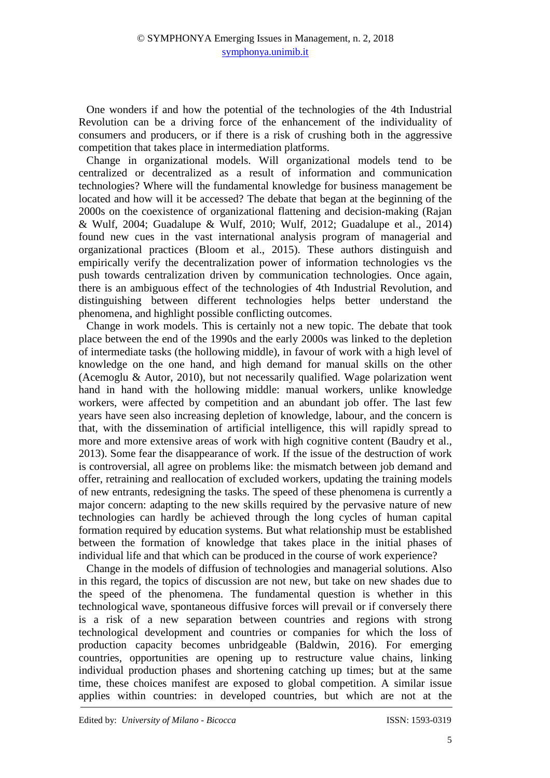One wonders if and how the potential of the technologies of the 4th Industrial Revolution can be a driving force of the enhancement of the individuality of consumers and producers, or if there is a risk of crushing both in the aggressive competition that takes place in intermediation platforms.

Change in organizational models. Will organizational models tend to be centralized or decentralized as a result of information and communication technologies? Where will the fundamental knowledge for business management be located and how will it be accessed? The debate that began at the beginning of the 2000s on the coexistence of organizational flattening and decision-making (Rajan & Wulf, 2004; Guadalupe & Wulf, 2010; Wulf, 2012; Guadalupe et al., 2014) found new cues in the vast international analysis program of managerial and organizational practices (Bloom et al., 2015). These authors distinguish and empirically verify the decentralization power of information technologies vs the push towards centralization driven by communication technologies. Once again, there is an ambiguous effect of the technologies of 4th Industrial Revolution, and distinguishing between different technologies helps better understand the phenomena, and highlight possible conflicting outcomes.

Change in work models. This is certainly not a new topic. The debate that took place between the end of the 1990s and the early 2000s was linked to the depletion of intermediate tasks (the hollowing middle), in favour of work with a high level of knowledge on the one hand, and high demand for manual skills on the other (Acemoglu & Autor, 2010), but not necessarily qualified. Wage polarization went hand in hand with the hollowing middle: manual workers, unlike knowledge workers, were affected by competition and an abundant job offer. The last few years have seen also increasing depletion of knowledge, labour, and the concern is that, with the dissemination of artificial intelligence, this will rapidly spread to more and more extensive areas of work with high cognitive content (Baudry et al., 2013). Some fear the disappearance of work. If the issue of the destruction of work is controversial, all agree on problems like: the mismatch between job demand and offer, retraining and reallocation of excluded workers, updating the training models of new entrants, redesigning the tasks. The speed of these phenomena is currently a major concern: adapting to the new skills required by the pervasive nature of new technologies can hardly be achieved through the long cycles of human capital formation required by education systems. But what relationship must be established between the formation of knowledge that takes place in the initial phases of individual life and that which can be produced in the course of work experience?

Change in the models of diffusion of technologies and managerial solutions. Also in this regard, the topics of discussion are not new, but take on new shades due to the speed of the phenomena. The fundamental question is whether in this technological wave, spontaneous diffusive forces will prevail or if conversely there is a risk of a new separation between countries and regions with strong technological development and countries or companies for which the loss of production capacity becomes unbridgeable (Baldwin, 2016). For emerging countries, opportunities are opening up to restructure value chains, linking individual production phases and shortening catching up times; but at the same time, these choices manifest are exposed to global competition. A similar issue applies within countries: in developed countries, but which are not at the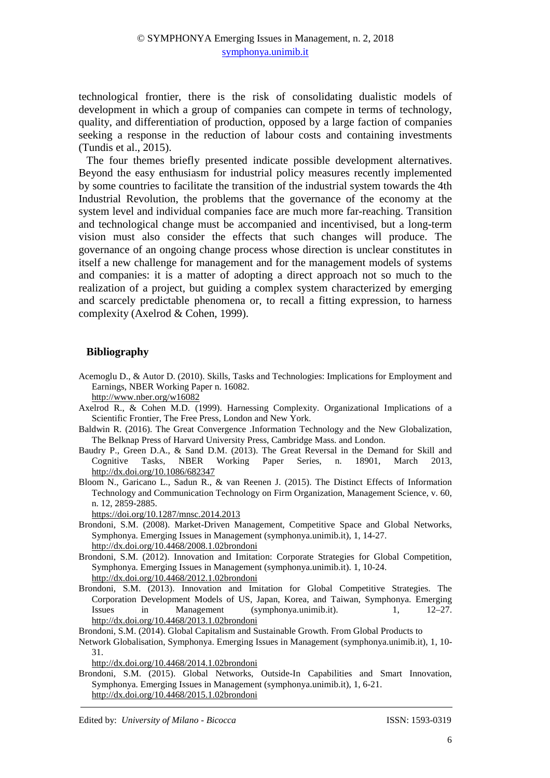technological frontier, there is the risk of consolidating dualistic models of development in which a group of companies can compete in terms of technology, quality, and differentiation of production, opposed by a large faction of companies seeking a response in the reduction of labour costs and containing investments (Tundis et al., 2015).

The four themes briefly presented indicate possible development alternatives. Beyond the easy enthusiasm for industrial policy measures recently implemented by some countries to facilitate the transition of the industrial system towards the 4th Industrial Revolution, the problems that the governance of the economy at the system level and individual companies face are much more far-reaching. Transition and technological change must be accompanied and incentivised, but a long-term vision must also consider the effects that such changes will produce. The governance of an ongoing change process whose direction is unclear constitutes in itself a new challenge for management and for the management models of systems and companies: it is a matter of adopting a direct approach not so much to the realization of a project, but guiding a complex system characterized by emerging and scarcely predictable phenomena or, to recall a fitting expression, to harness complexity (Axelrod & Cohen, 1999).

### **Bibliography**

Acemoglu D., & Autor D. (2010). Skills, Tasks and Technologies: Implications for Employment and Earnings, NBER Working Paper n. 16082.

http://www.nber.org/w16082

- Axelrod R., & Cohen M.D. (1999). Harnessing Complexity. Organizational Implications of a Scientific Frontier, The Free Press, London and New York.
- Baldwin R. (2016). The Great Convergence .Information Technology and the New Globalization, The Belknap Press of Harvard University Press, Cambridge Mass. and London.
- Baudry P., Green D.A., & Sand D.M. (2013). The Great Reversal in the Demand for Skill and Cognitive Tasks, NBER Working Paper Series, n. 18901, March 2013, http://dx.doi.org/10.1086/682347
- Bloom N., Garicano L., Sadun R., & van Reenen J. (2015). The Distinct Effects of Information Technology and Communication Technology on Firm Organization, Management Science, v. 60, n. 12, 2859-2885.

https://doi.org/10.1287/mnsc.2014.2013

- Brondoni, S.M. (2008). Market-Driven Management, Competitive Space and Global Networks, Symphonya. Emerging Issues in Management (symphonya.unimib.it), 1, 14-27. http://dx.doi.org/10.4468/2008.1.02brondoni
- Brondoni, S.M. (2012). Innovation and Imitation: Corporate Strategies for Global Competition, Symphonya. Emerging Issues in Management (symphonya.unimib.it). 1, 10-24. http://dx.doi.org/10.4468/2012.1.02brondoni
- Brondoni, S.M. (2013). Innovation and Imitation for Global Competitive Strategies. The Corporation Development Models of US, Japan, Korea, and Taiwan, Symphonya. Emerging Issues in Management (symphonya.unimib.it). 1, 12–27. http://dx.doi.org/10.4468/2013.1.02brondoni

Brondoni, S.M. (2014). Global Capitalism and Sustainable Growth. From Global Products to

Network Globalisation, Symphonya. Emerging Issues in Management (symphonya.unimib.it), 1, 10- 31.

http://dx.doi.org/10.4468/2014.1.02brondoni

Brondoni, S.M. (2015). Global Networks, Outside-In Capabilities and Smart Innovation, Symphonya. Emerging Issues in Management (symphonya.unimib.it), 1, 6-21. http://dx.doi.org/10.4468/2015.1.02brondoni